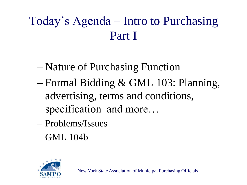#### Today's Agenda – Intro to Purchasing Part I

- Nature of Purchasing Function
- Formal Bidding & GML 103: Planning, advertising, terms and conditions, specification and more…
- Problems/Issues
- GML 104b

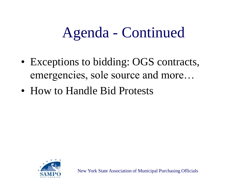## Agenda - Continued

- Exceptions to bidding: OGS contracts, emergencies, sole source and more…
- How to Handle Bid Protests

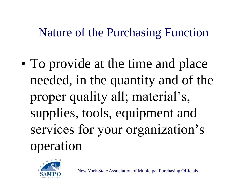#### Nature of the Purchasing Function

• To provide at the time and place needed, in the quantity and of the proper quality all; material's, supplies, tools, equipment and services for your organization's operation

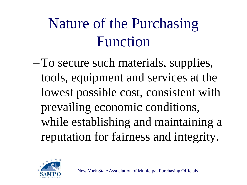# Nature of the Purchasing Function

–To secure such materials, supplies, tools, equipment and services at the lowest possible cost, consistent with prevailing economic conditions, while establishing and maintaining a reputation for fairness and integrity.

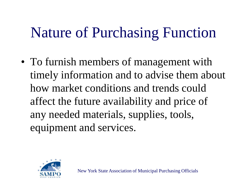## Nature of Purchasing Function

• To furnish members of management with timely information and to advise them about how market conditions and trends could affect the future availability and price of any needed materials, supplies, tools, equipment and services.

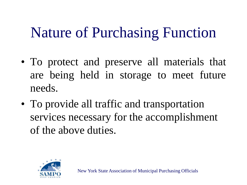## Nature of Purchasing Function

- To protect and preserve all materials that are being held in storage to meet future needs.
- To provide all traffic and transportation services necessary for the accomplishment of the above duties.

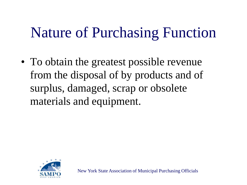## Nature of Purchasing Function

• To obtain the greatest possible revenue from the disposal of by products and of surplus, damaged, scrap or obsolete materials and equipment.

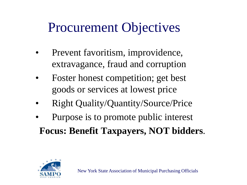#### Procurement Objectives

- Prevent favoritism, improvidence, extravagance, fraud and corruption
- Foster honest competition; get best goods or services at lowest price
- Right Quality/Quantity/Source/Price
- Purpose is to promote public interest **Focus: Benefit Taxpayers, NOT bidders**.

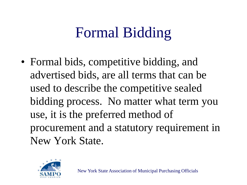# Formal Bidding

• Formal bids, competitive bidding, and advertised bids, are all terms that can be used to describe the competitive sealed bidding process. No matter what term you use, it is the preferred method of procurement and a statutory requirement in New York State.

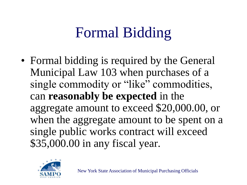# Formal Bidding

• Formal bidding is required by the General Municipal Law 103 when purchases of a single commodity or "like" commodities, can **reasonably be expected** in the aggregate amount to exceed \$20,000.00, or when the aggregate amount to be spent on a single public works contract will exceed \$35,000.00 in any fiscal year.

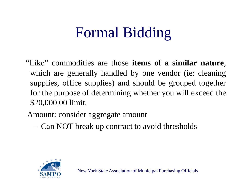# Formal Bidding

"Like" commodities are those **items of a similar nature**, which are generally handled by one vendor (ie: cleaning supplies, office supplies) and should be grouped together for the purpose of determining whether you will exceed the \$20,000.00 limit.

Amount: consider aggregate amount

– Can NOT break up contract to avoid thresholds

![](_page_10_Picture_4.jpeg)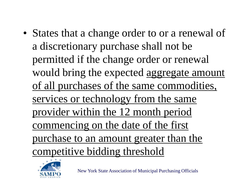• States that a change order to or a renewal of a discretionary purchase shall not be permitted if the change order or renewal would bring the expected aggregate amount of all purchases of the same commodities, services or technology from the same provider within the 12 month period commencing on the date of the first purchase to an amount greater than the competitive bidding threshold

![](_page_11_Picture_1.jpeg)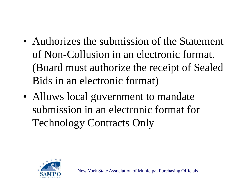- Authorizes the submission of the Statement of Non-Collusion in an electronic format. (Board must authorize the receipt of Sealed Bids in an electronic format)
- Allows local government to mandate submission in an electronic format for Technology Contracts Only

![](_page_12_Picture_2.jpeg)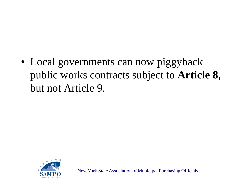• Local governments can now piggyback public works contracts subject to **Article 8**, but not Article 9.

![](_page_13_Picture_1.jpeg)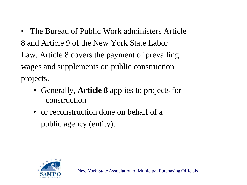- The Bureau of Public Work administers Article 8 and Article 9 of the New York State Labor Law. Article 8 covers the payment of prevailing wages and supplements on public construction projects.
	- Generally, **Article 8** applies to projects for construction
	- or reconstruction done on behalf of a public agency (entity).

![](_page_14_Picture_3.jpeg)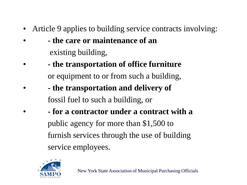- Article 9 applies to building service contracts involving:
- **- the care or maintenance of an** existing building,
- **- the transportation of office furniture** or equipment to or from such a building,
- **- the transportation and delivery of** fossil fuel to such a building, or
- **- for a contractor under a contract with a** public agency for more than \$1,500 to furnish services through the use of building service employees.

![](_page_15_Picture_5.jpeg)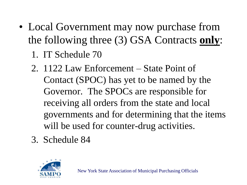- Local Government may now purchase from the following three (3) GSA Contracts **only**:
	- 1. IT Schedule 70
	- 2. 1122 Law Enforcement State Point of Contact (SPOC) has yet to be named by the Governor. The SPOCs are responsible for receiving all orders from the state and local governments and for determining that the items will be used for counter-drug activities.
	- 3. Schedule 84

![](_page_16_Picture_4.jpeg)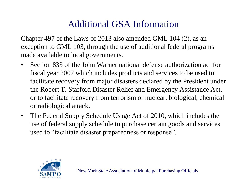#### Additional GSA Information

Chapter 497 of the Laws of 2013 also amended GML 104 (2), as an exception to GML 103, through the use of additional federal programs made available to local governments.

- Section 833 of the John Warner national defense authorization act for fiscal year 2007 which includes products and services to be used to facilitate recovery from major disasters declared by the President under the Robert T. Stafford Disaster Relief and Emergency Assistance Act, or to facilitate recovery from terrorism or nuclear, biological, chemical or radiological attack.
- The Federal Supply Schedule Usage Act of 2010, which includes the use of federal supply schedule to purchase certain goods and services used to "facilitate disaster preparedness or response".

![](_page_17_Picture_4.jpeg)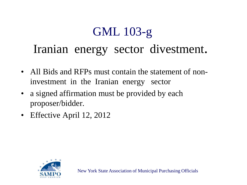#### GML 103-g Iranian energy sector divestment.

- All Bids and RFPs must contain the statement of noninvestment in the Iranian energy sector
- a signed affirmation must be provided by each proposer/bidder.
- Effective April 12, 2012

![](_page_18_Picture_4.jpeg)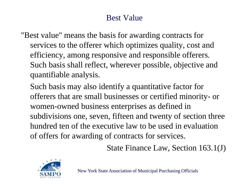#### Best Value

- "Best value" means the basis for awarding contracts for services to the offerer which optimizes quality, cost and efficiency, among responsive and responsible offerers. Such basis shall reflect, wherever possible, objective and quantifiable analysis.
	- Such basis may also identify a quantitative factor for offerers that are small businesses or certified minority- or women-owned business enterprises as defined in subdivisions one, seven, fifteen and twenty of section three hundred ten of the executive law to be used in evaluation of offers for awarding of contracts for services.

State Finance Law, Section 163.1(J)

![](_page_19_Picture_4.jpeg)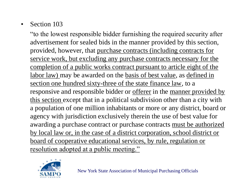#### • Section 103

"to the lowest responsible bidder furnishing the required security after advertisement for sealed bids in the manner provided by this section, provided, however, that purchase contracts (including contracts for service work, but excluding any purchase contracts necessary for the completion of a public works contract pursuant to article eight of the labor law) may be awarded on the basis of best value, as defined in section one hundred sixty-three of the state finance law, to a responsive and responsible bidder or <u>offerer</u> in the <u>manner provided by</u> this section except that in a political subdivision other than a city with a population of one million inhabitants or more or any district, board or agency with jurisdiction exclusively therein the use of best value for awarding a purchase contract or purchase contracts must be authorized by local law or, in the case of a district corporation, school district or board of cooperative educational services, by rule, regulation or resolution adopted at a public meeting."

![](_page_20_Picture_2.jpeg)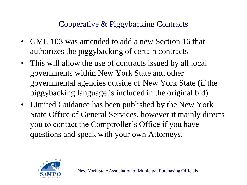#### Cooperative & Piggybacking Contracts

- GML 103 was amended to add a new Section 16 that authorizes the piggybacking of certain contracts
- This will allow the use of contracts issued by all local governments within New York State and other governmental agencies outside of New York State (if the piggybacking language is included in the original bid)
- Limited Guidance has been published by the New York State Office of General Services, however it mainly directs you to contact the Comptroller's Office if you have questions and speak with your own Attorneys.

![](_page_21_Picture_4.jpeg)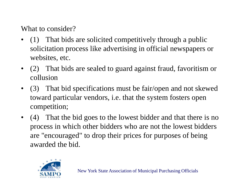What to consider?

- (1) That bids are solicited competitively through a public solicitation process like advertising in official newspapers or websites, etc.
- (2) That bids are sealed to guard against fraud, favoritism or collusion
- (3) That bid specifications must be fair/open and not skewed toward particular vendors, i.e. that the system fosters open competition;
- (4) That the bid goes to the lowest bidder and that there is no process in which other bidders who are not the lowest bidders are "encouraged" to drop their prices for purposes of being awarded the bid.

![](_page_22_Picture_5.jpeg)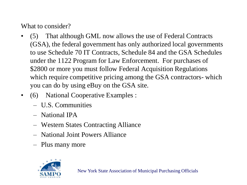What to consider?

- (5) That although GML now allows the use of Federal Contracts (GSA), the federal government has only authorized local governments to use Schedule 70 IT Contracts, Schedule 84 and the GSA Schedules under the 1122 Program for Law Enforcement. For purchases of \$2800 or more you must follow Federal Acquisition Regulations which require competitive pricing among the GSA contractors- which you can do by using eBuy on the GSA site.
- (6) National Cooperative Examples :
	- U.S. Communities
	- National IPA
	- Western States Contracting Alliance
	- National Joint Powers Alliance
	- Plus many more

![](_page_23_Picture_8.jpeg)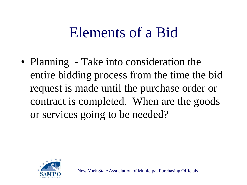• Planning - Take into consideration the entire bidding process from the time the bid request is made until the purchase order or contract is completed. When are the goods or services going to be needed?

![](_page_24_Picture_2.jpeg)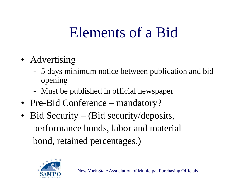- Advertising
	- 5 days minimum notice between publication and bid opening
	- Must be published in official newspaper
- Pre-Bid Conference mandatory?
- Bid Security (Bid security/deposits, performance bonds, labor and material bond, retained percentages.)

![](_page_25_Picture_6.jpeg)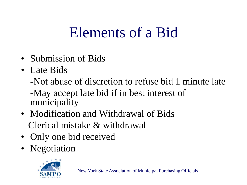- Submission of Bids
- Late Bids

-Not abuse of discretion to refuse bid 1 minute late

-May accept late bid if in best interest of municipality

- Modification and Withdrawal of Bids Clerical mistake & withdrawal
- Only one bid received
- Negotiation

![](_page_26_Picture_8.jpeg)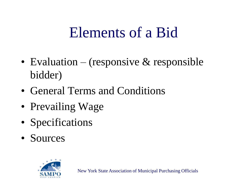- Evaluation (responsive  $\&$  responsible bidder)
- General Terms and Conditions
- Prevailing Wage
- Specifications
- Sources

![](_page_27_Picture_6.jpeg)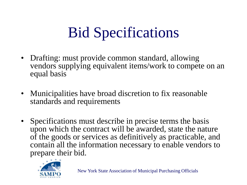# Bid Specifications

- Drafting: must provide common standard, allowing vendors supplying equivalent items/work to compete on an equal basis
- Municipalities have broad discretion to fix reasonable standards and requirements
- Specifications must describe in precise terms the basis upon which the contract will be awarded, state the nature of the goods or services as definitively as practicable, and contain all the information necessary to enable vendors to prepare their bid.

![](_page_28_Picture_4.jpeg)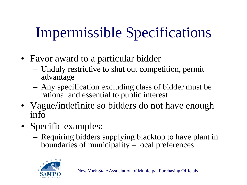# Impermissible Specifications

- Favor award to a particular bidder
	- Unduly restrictive to shut out competition, permit advantage
	- Any specification excluding class of bidder must be rational and essential to public interest
- Vague/indefinite so bidders do not have enough info
- Specific examples:
	- Requiring bidders supplying blacktop to have plant in boundaries of municipality – local preferences

![](_page_29_Picture_7.jpeg)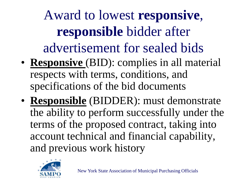Award to lowest **responsive**, **responsible** bidder after advertisement for sealed bids

- **Responsive** (BID): complies in all material respects with terms, conditions, and specifications of the bid documents
- **Responsible** (BIDDER): must demonstrate the ability to perform successfully under the terms of the proposed contract, taking into account technical and financial capability, and previous work history

![](_page_30_Picture_3.jpeg)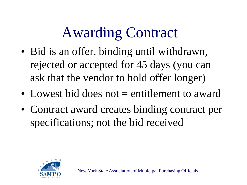## Awarding Contract

- Bid is an offer, binding until withdrawn, rejected or accepted for 45 days (you can ask that the vendor to hold offer longer)
- Lowest bid does not = entitlement to award
- Contract award creates binding contract per specifications; not the bid received

![](_page_31_Picture_4.jpeg)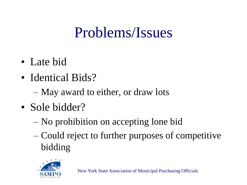- Late bid
- Identical Bids?
	- May award to either, or draw lots
- Sole bidder?
	- No prohibition on accepting lone bid
	- Could reject to further purposes of competitive bidding

![](_page_32_Picture_7.jpeg)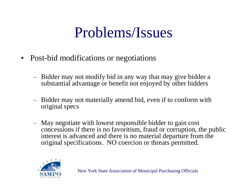- Post-bid modifications or negotiations
	- Bidder may not modify bid in any way that may give bidder a substantial advantage or benefit not enjoyed by other bidders
	- Bidder may not materially amend bid, even if to conform with original specs
	- May negotiate with lowest responsible bidder to gain cost concessions if there is no favoritism, fraud or corruption, the public interest is advanced and there is no material departure from the original specifications. NO coercion or threats permitted.

![](_page_33_Picture_5.jpeg)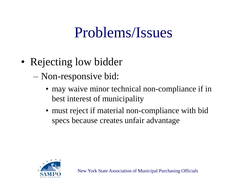- Rejecting low bidder
	- Non-responsive bid:
		- may waive minor technical non-compliance if in best interest of municipality
		- must reject if material non-compliance with bid specs because creates unfair advantage

![](_page_34_Picture_5.jpeg)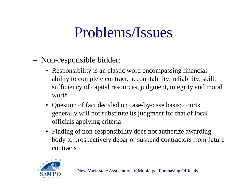- Non-responsible bidder:
	- Responsibility is an elastic word encompassing financial ability to complete contract, accountability, reliability, skill, sufficiency of capital resources, judgment, integrity and moral worth
	- Question of fact decided on case-by-case basis; courts generally will not substitute its judgment for that of local officials applying criteria
	- Finding of non-responsibility does not authorize awarding body to prospectively debar or suspend contractors from future contracts

![](_page_35_Picture_5.jpeg)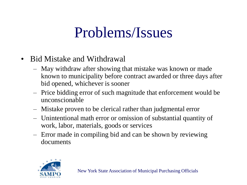- Bid Mistake and Withdrawal
	- May withdraw after showing that mistake was known or made known to municipality before contract awarded or three days after bid opened, whichever is sooner
	- Price bidding error of such magnitude that enforcement would be unconscionable
	- Mistake proven to be clerical rather than judgmental error
	- Unintentional math error or omission of substantial quantity of work, labor, materials, goods or services
	- Error made in compiling bid and can be shown by reviewing documents

![](_page_36_Picture_7.jpeg)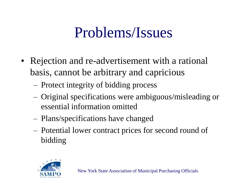- Rejection and re-advertisement with a rational basis, cannot be arbitrary and capricious
	- Protect integrity of bidding process
	- Original specifications were ambiguous/misleading or essential information omitted
	- Plans/specifications have changed
	- Potential lower contract prices for second round of bidding

![](_page_37_Picture_6.jpeg)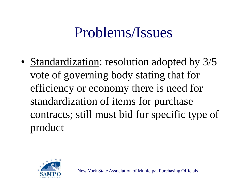• Standardization: resolution adopted by 3/5 vote of governing body stating that for efficiency or economy there is need for standardization of items for purchase contracts; still must bid for specific type of product

![](_page_38_Picture_2.jpeg)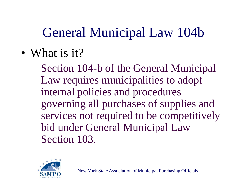#### General Municipal Law 104b

• What is it?

– Section 104-b of the General Municipal Law requires municipalities to adopt internal policies and procedures governing all purchases of supplies and services not required to be competitively bid under General Municipal Law Section 103.

![](_page_39_Picture_3.jpeg)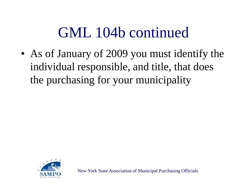• As of January of 2009 you must identify the individual responsible, and title, that does the purchasing for your municipality

![](_page_40_Picture_2.jpeg)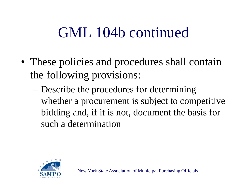- These policies and procedures shall contain the following provisions:
	- Describe the procedures for determining whether a procurement is subject to competitive bidding and, if it is not, document the basis for such a determination

![](_page_41_Picture_3.jpeg)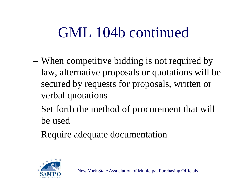- When competitive bidding is not required by law, alternative proposals or quotations will be secured by requests for proposals, written or verbal quotations
- Set forth the method of procurement that will be used
- Require adequate documentation

![](_page_42_Picture_4.jpeg)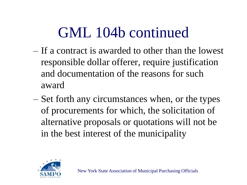- If a contract is awarded to other than the lowest responsible dollar offerer, require justification and documentation of the reasons for such award
- Set forth any circumstances when, or the types of procurements for which, the solicitation of alternative proposals or quotations will not be in the best interest of the municipality

![](_page_43_Picture_3.jpeg)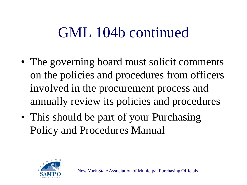- The governing board must solicit comments on the policies and procedures from officers involved in the procurement process and annually review its policies and procedures
- This should be part of your Purchasing Policy and Procedures Manual

![](_page_44_Picture_3.jpeg)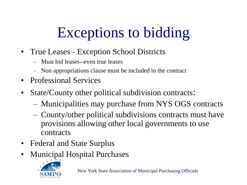# Exceptions to bidding

- True Leases Exception School Districts
	- Must bid leases--even true leases
	- Non appropriations clause must be included in the contract
- Professional Services
- State/County other political subdivision contracts:
	- Municipalities may purchase from NYS OGS contracts
	- County/other political subdivisions contracts must have provisions allowing other local governments to use contracts
- Federal and State Surplus
- Municipal Hospital Purchases

![](_page_45_Picture_10.jpeg)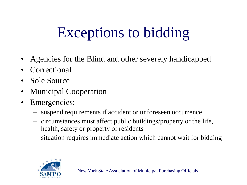# Exceptions to bidding

- Agencies for the Blind and other severely handicapped
- Correctional
- Sole Source
- Municipal Cooperation
- Emergencies:
	- suspend requirements if accident or unforeseen occurrence
	- circumstances must affect public buildings/property or the life, health, safety or property of residents
	- situation requires immediate action which cannot wait for bidding

![](_page_46_Picture_9.jpeg)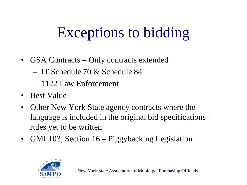## Exceptions to bidding

- GSA Contracts Only contracts extended
	- IT Schedule 70 & Schedule 84
	- 1122 Law Enforcement
- Best Value
- Other New York State agency contracts where the language is included in the original bid specifications – rules yet to be written
- GML103, Section 16 Piggybacking Legislation

![](_page_47_Picture_7.jpeg)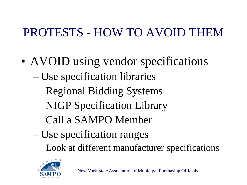#### PROTESTS - HOW TO AVOID THEM

- AVOID using vendor specifications – Use specification libraries Regional Bidding Systems NIGP Specification Library Call a SAMPO Member – Use specification ranges
	- Look at different manufacturer specifications

![](_page_48_Picture_3.jpeg)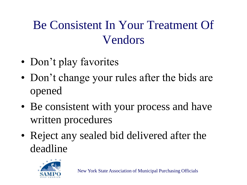#### Be Consistent In Your Treatment Of Vendors

- Don't play favorites
- Don't change your rules after the bids are opened
- Be consistent with your process and have written procedures
- Reject any sealed bid delivered after the deadline

![](_page_49_Picture_5.jpeg)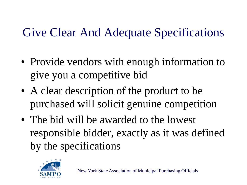#### Give Clear And Adequate Specifications

- Provide vendors with enough information to give you a competitive bid
- A clear description of the product to be purchased will solicit genuine competition
- The bid will be awarded to the lowest responsible bidder, exactly as it was defined by the specifications

![](_page_50_Picture_4.jpeg)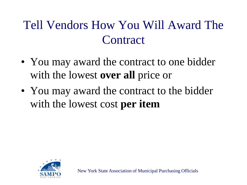#### Tell Vendors How You Will Award The **Contract**

- You may award the contract to one bidder with the lowest **over all** price or
- You may award the contract to the bidder with the lowest cost **per item**

![](_page_51_Picture_3.jpeg)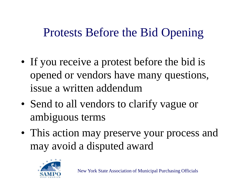#### Protests Before the Bid Opening

- If you receive a protest before the bid is opened or vendors have many questions, issue a written addendum
- Send to all vendors to clarify vague or ambiguous terms
- This action may preserve your process and may avoid a disputed award

![](_page_52_Picture_4.jpeg)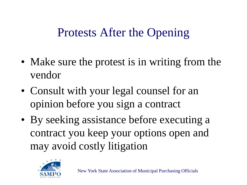#### Protests After the Opening

- Make sure the protest is in writing from the vendor
- Consult with your legal counsel for an opinion before you sign a contract
- By seeking assistance before executing a contract you keep your options open and may avoid costly litigation

![](_page_53_Picture_4.jpeg)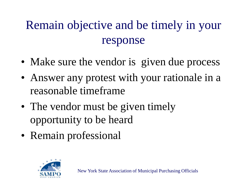#### Remain objective and be timely in your response

- Make sure the vendor is given due process
- Answer any protest with your rationale in a reasonable timeframe
- The vendor must be given timely opportunity to be heard
- Remain professional

![](_page_54_Picture_5.jpeg)